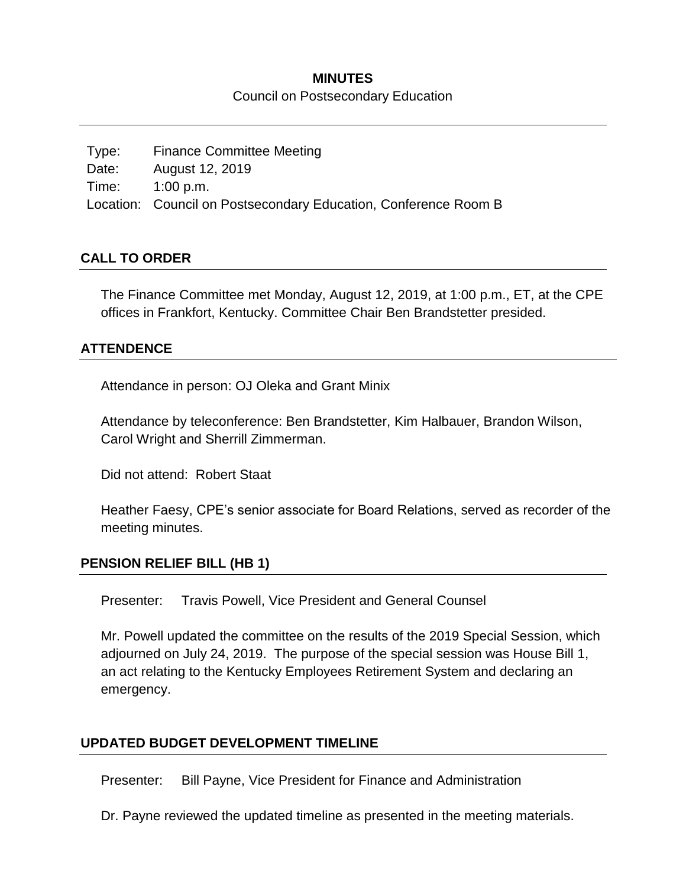## **MINUTES** Council on Postsecondary Education

Type: Finance Committee Meeting Date: August 12, 2019 Time: 1:00 p.m. Location: Council on Postsecondary Education, Conference Room B

### **CALL TO ORDER**

The Finance Committee met Monday, August 12, 2019, at 1:00 p.m., ET, at the CPE offices in Frankfort, Kentucky. Committee Chair Ben Brandstetter presided.

### **ATTENDENCE**

Attendance in person: OJ Oleka and Grant Minix

Attendance by teleconference: Ben Brandstetter, Kim Halbauer, Brandon Wilson, Carol Wright and Sherrill Zimmerman.

Did not attend: Robert Staat

Heather Faesy, CPE's senior associate for Board Relations, served as recorder of the meeting minutes.

### **PENSION RELIEF BILL (HB 1)**

Presenter: Travis Powell, Vice President and General Counsel

Mr. Powell updated the committee on the results of the 2019 Special Session, which adjourned on July 24, 2019. The purpose of the special session was House Bill 1, an act relating to the Kentucky Employees Retirement System and declaring an emergency.

### **UPDATED BUDGET DEVELOPMENT TIMELINE**

Presenter: Bill Payne, Vice President for Finance and Administration

Dr. Payne reviewed the updated timeline as presented in the meeting materials.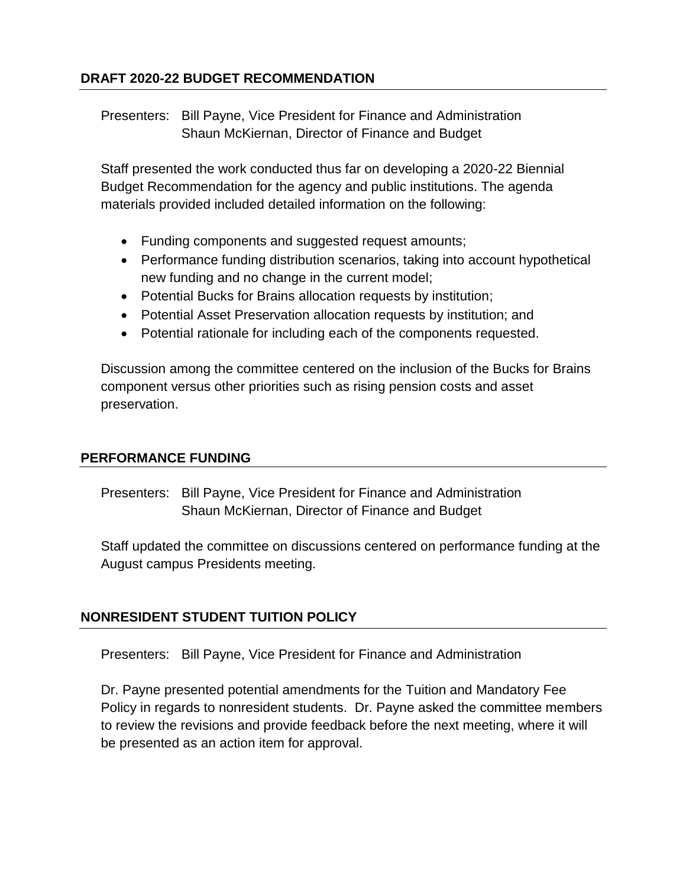# **DRAFT 2020-22 BUDGET RECOMMENDATION**

Presenters: Bill Payne, Vice President for Finance and Administration Shaun McKiernan, Director of Finance and Budget

Staff presented the work conducted thus far on developing a 2020-22 Biennial Budget Recommendation for the agency and public institutions. The agenda materials provided included detailed information on the following:

- Funding components and suggested request amounts;
- Performance funding distribution scenarios, taking into account hypothetical new funding and no change in the current model;
- Potential Bucks for Brains allocation requests by institution;
- Potential Asset Preservation allocation requests by institution; and
- Potential rationale for including each of the components requested.

Discussion among the committee centered on the inclusion of the Bucks for Brains component versus other priorities such as rising pension costs and asset preservation.

### **PERFORMANCE FUNDING**

Presenters: Bill Payne, Vice President for Finance and Administration Shaun McKiernan, Director of Finance and Budget

Staff updated the committee on discussions centered on performance funding at the August campus Presidents meeting.

## **NONRESIDENT STUDENT TUITION POLICY**

Presenters: Bill Payne, Vice President for Finance and Administration

Dr. Payne presented potential amendments for the Tuition and Mandatory Fee Policy in regards to nonresident students. Dr. Payne asked the committee members to review the revisions and provide feedback before the next meeting, where it will be presented as an action item for approval.